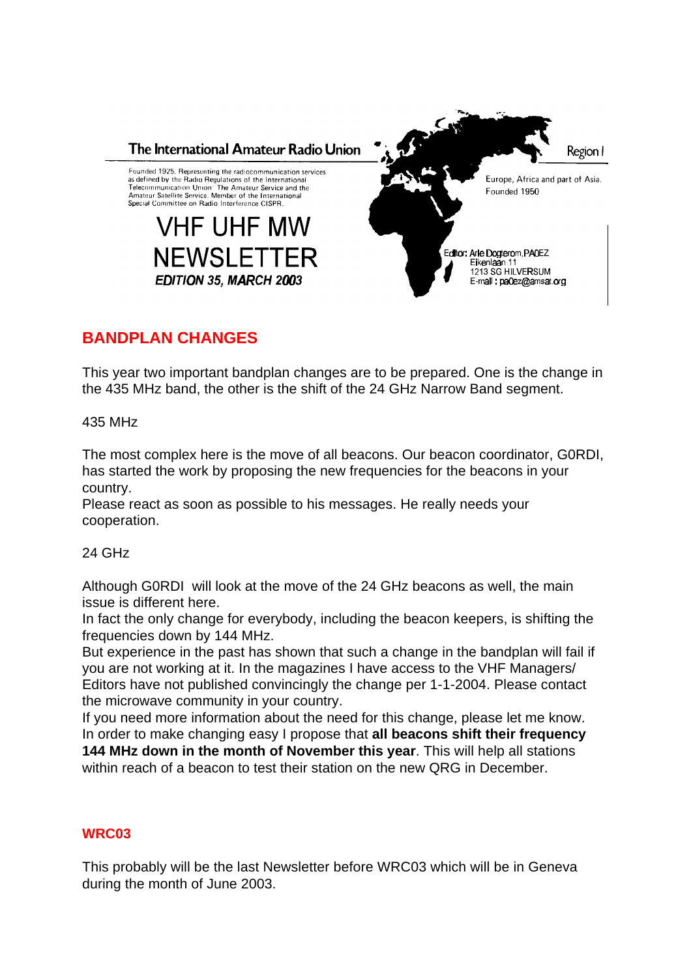

## **BANDPLAN CHANGES**

This year two important bandplan changes are to be prepared. One is the change in the 435 MHz band, the other is the shift of the 24 GHz Narrow Band segment.

435 MHz

The most complex here is the move of all beacons. Our beacon coordinator, G0RDI, has started the work by proposing the new frequencies for the beacons in your country.

Please react as soon as possible to his messages. He really needs your cooperation.

24 GHz

Although G0RDI will look at the move of the 24 GHz beacons as well, the main issue is different here.

In fact the only change for everybody, including the beacon keepers, is shifting the frequencies down by 144 MHz.

But experience in the past has shown that such a change in the bandplan will fail if you are not working at it. In the magazines I have access to the VHF Managers/ Editors have not published convincingly the change per 1-1-2004. Please contact the microwave community in your country.

If you need more information about the need for this change, please let me know. In order to make changing easy I propose that **all beacons shift their frequency 144 MHz down in the month of November this year**. This will help all stations within reach of a beacon to test their station on the new QRG in December.

## **WRC03**

This probably will be the last Newsletter before WRC03 which will be in Geneva during the month of June 2003.